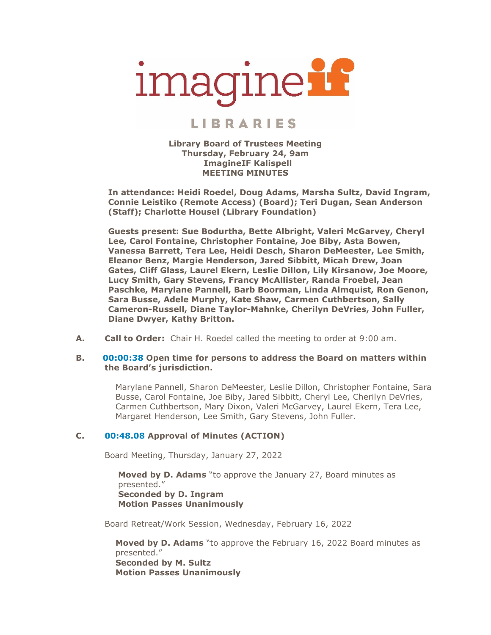# imagineif

# **LIBRARIES**

**Library Board of Trustees Meeting Thursday, February 24, 9am ImagineIF Kalispell MEETING MINUTES**

**In attendance: Heidi Roedel, Doug Adams, Marsha Sultz, David Ingram, Connie Leistiko (Remote Access) (Board); Teri Dugan, Sean Anderson (Staff); Charlotte Housel (Library Foundation)**

**Guests present: Sue Bodurtha, Bette Albright, Valeri McGarvey, Cheryl Lee, Carol Fontaine, Christopher Fontaine, Joe Biby, Asta Bowen, Vanessa Barrett, Tera Lee, Heidi Desch, Sharon DeMeester, Lee Smith, Eleanor Benz, Margie Henderson, Jared Sibbitt, Micah Drew, Joan Gates, Cliff Glass, Laurel Ekern, Leslie Dillon, Lily Kirsanow, Joe Moore, Lucy Smith, Gary Stevens, Francy McAllister, Randa Froebel, Jean Paschke, Marylane Pannell, Barb Boorman, Linda Almquist, Ron Genon, Sara Busse, Adele Murphy, Kate Shaw, Carmen Cuthbertson, Sally Cameron-Russell, Diane Taylor-Mahnke, Cherilyn DeVries, John Fuller, Diane Dwyer, Kathy Britton.** 

**A. Call to Order:** Chair H. Roedel called the meeting to order at 9:00 am.

#### **B. 00:00:38 Open time for persons to address the Board on matters within the Board's jurisdiction.**

Marylane Pannell, Sharon DeMeester, Leslie Dillon, Christopher Fontaine, Sara Busse, Carol Fontaine, Joe Biby, Jared Sibbitt, Cheryl Lee, Cherilyn DeVries, Carmen Cuthbertson, Mary Dixon, Valeri McGarvey, Laurel Ekern, Tera Lee, Margaret Henderson, Lee Smith, Gary Stevens, John Fuller.

# **C. 00:48.08 Approval of Minutes (ACTION)**

Board Meeting, Thursday, January 27, 2022

**Moved by D. Adams** "to approve the January 27, Board minutes as presented." **Seconded by D. Ingram Motion Passes Unanimously**

Board Retreat/Work Session, Wednesday, February 16, 2022

**Moved by D. Adams** "to approve the February 16, 2022 Board minutes as presented." **Seconded by M. Sultz Motion Passes Unanimously**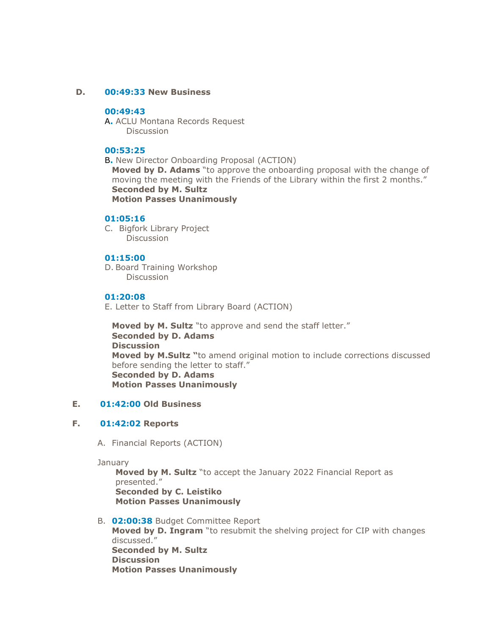#### **D. 00:49:33 New Business**

# **00:49:43**

A**.** ACLU Montana Records Request Discussion

## **00:53:25**

B**.** New Director Onboarding Proposal (ACTION) **Moved by D. Adams** "to approve the onboarding proposal with the change of moving the meeting with the Friends of the Library within the first 2 months." **Seconded by M. Sultz Motion Passes Unanimously**

#### **01:05:16**

C. Bigfork Library Project Discussion

#### **01:15:00**

D. Board Training Workshop Discussion

## **01:20:08**

E. Letter to Staff from Library Board (ACTION)

**Moved by M. Sultz** "to approve and send the staff letter." **Seconded by D. Adams Discussion Moved by M.Sultz "**to amend original motion to include corrections discussed before sending the letter to staff." **Seconded by D. Adams Motion Passes Unanimously**

#### **E. 01:42:00 Old Business**

# **F. 01:42:02 Reports**

A. Financial Reports (ACTION)

**January** 

**Moved by M. Sultz** "to accept the January 2022 Financial Report as presented." **Seconded by C. Leistiko Motion Passes Unanimously**

B. **02:00:38** Budget Committee Report **Moved by D. Ingram** "to resubmit the shelving project for CIP with changes discussed." **Seconded by M. Sultz Discussion Motion Passes Unanimously**